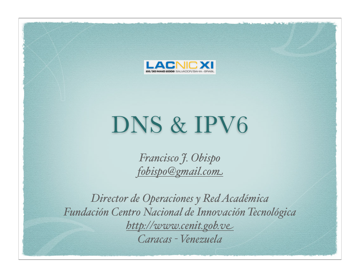

## DNS & IPV6

*Francisco J. Obispo fobispo@gmail.com*

*Director de Operaciones y Red Académica Fundación Centro Nacional de Innovación Tecnológica http://www.cenit.gob.ve Caracas - Venezuela*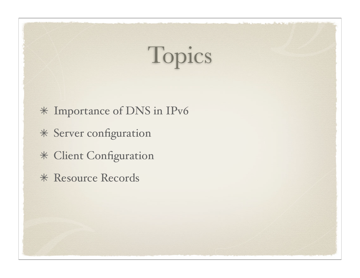# Topics

- Importance of DNS in IPv6
- Server configuration
- Client Configuration
- \* Resource Records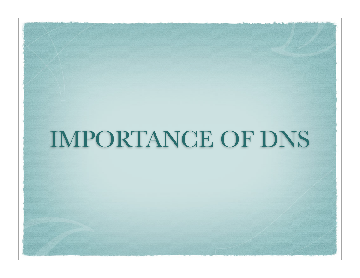## IMPORTANCE OF DNS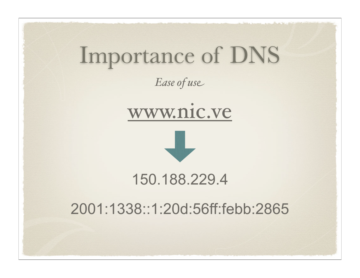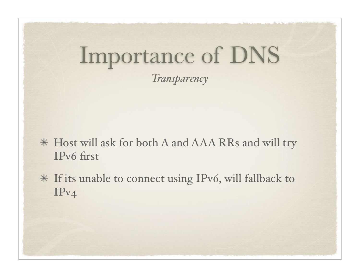## Importance of DNS

*Transparency*

- Host will ask for both A and AAA RRs and will try IPv6 first
- If its unable to connect using IPv6, will fallback to IPv4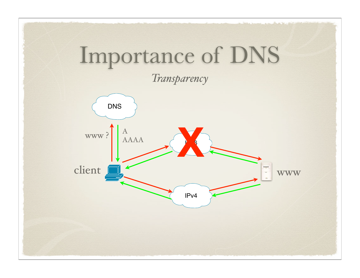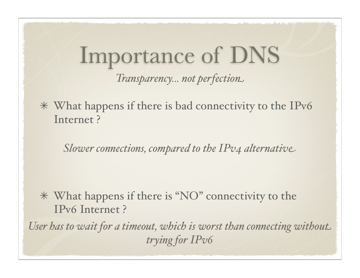#### Importance of DNS *Transparency... not perfection*

What happens if there is bad connectivity to the IPv6 Internet ?

*Slower connections, compared to the IPv4 alternative*

What happens if there is "NO" connectivity to the IPv6 Internet ?

*User has to wait for a timeout, which is worst than connecting without trying for IPv6*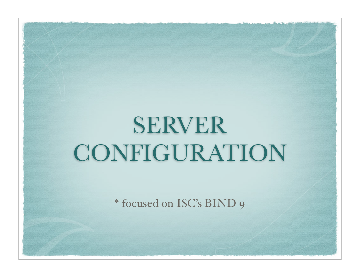## SERVER CONFIGURATION

\* focused on ISC's BIND 9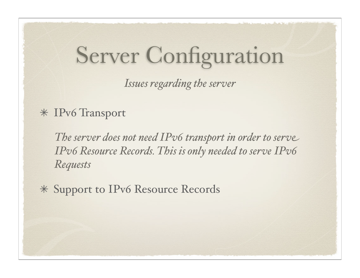*Issues regarding the server*

#### IPv6 Transport

*The server does not need IPv6 transport in order to serve IPv6 Resource Records. This is only needed to serve IPv6 Requests*

Support to IPv6 Resource Records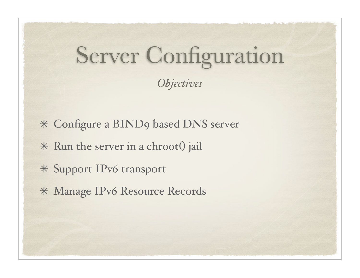#### *Objectives*

- Configure a BIND9 based DNS server
- \* Run the server in a chroot() jail
- Support IPv6 transport
- Manage IPv6 Resource Records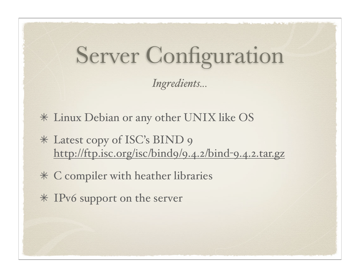*Ingredients...*

- Linux Debian or any other UNIX like OS
- Latest copy of ISC's BIND 9 http://ftp.isc.org/isc/bind9/9.4.2/bind-9.4.2.tar.gz
- C compiler with heather libraries
- IPv6 support on the server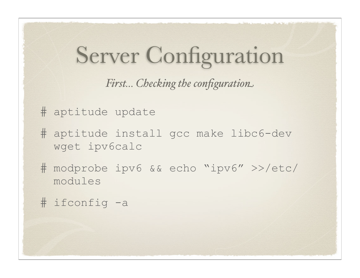*First... Checking the configuration*

# aptitude update

- # aptitude install gcc make libc6-dev wget ipv6calc
- # modprobe ipv6 && echo "ipv6" >>/etc/ modules

# ifconfig -a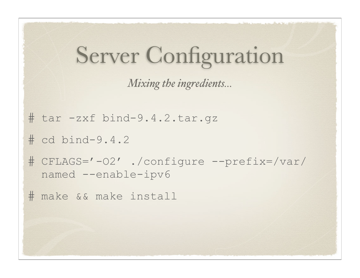```
Server Configuration
# tar -zxf bind-9.4.2.tar.gz
# cd bind-9.4.2
# CFLAGS='-O2' ./configure --prefix=/var/
  named --enable-ipv6 
# make && make install 
               Mixing the ingredients...
```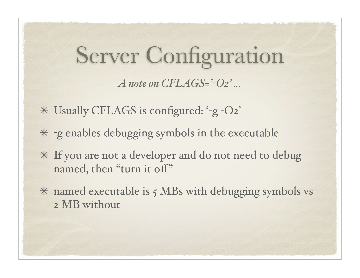#### Server Configuration *A note on CFLAGS='-O2' ...*

- Usually CFLAGS is configured: '-g -O2'
- -g enables debugging symbols in the executable
- If you are not a developer and do not need to debug named, then "turn it off"
- named executable is 5 MBs with debugging symbols vs 2 MB without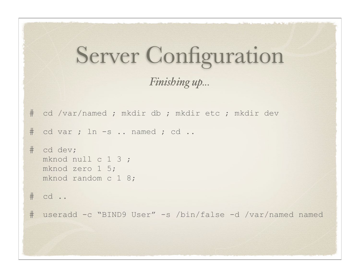```
Server Configuration
# cd /var/named ; mkdir db ; mkdir etc ; mkdir dev
# cd var ; ln -s .. named ; cd ..
# cd dev;
  mknod null c 1 3 ;
  mknod zero 1 5;
  mknod random c 1 8;
# cd ..
# useradd -c "BIND9 User" -s /bin/false -d /var/named named
                      Finishing up...
```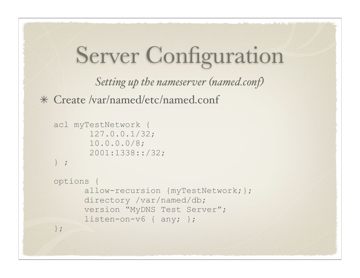*Setting up the nameserver (named.conf)*

Create /var/named/etc/named.conf

```
acl myTestNetwork { 
        127.0.0.1/32; 
        10.0.0.0/8; 
        2001:1338::/32;
} ;
options {
       allow-recursion {myTestNetwork;};
       directory /var/named/db;
       version "MyDNS Test Server";
       listen-on-v6 { any; };
};
```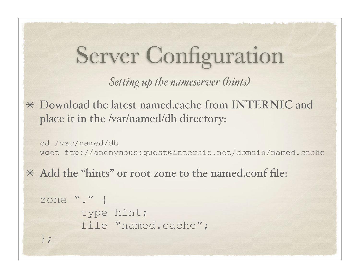*Setting up the nameserver (hints)*

Download the latest named.cache from INTERNIC and place it in the /var/named/db directory:

```
cd /var/named/db
wget ftp://anonymous:guest@internic.net/domain/named.cache
```
Add the "hints" or root zone to the named.conf file:

```
zone "." {
       type hint;
       file "named.cache";
};
```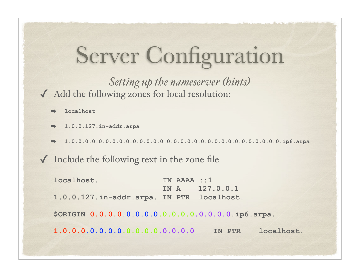✓ Add the following zones for local resolution: *Setting up the nameserver (hints)*

- ➡ **localhost**
- ➡ **1.0.0.127.in-addr.arpa**
- ➡ **1.0.0.0.0.0.0.0.0.0.0.0.0.0.0.0.0.0.0.0.0.0.0.0.0.0.0.0.0.0.0.0.ip6.arpa**

 $\sqrt{\ }$  Include the following text in the zone file

**localhost. IN AAAA ::1 IN A 127.0.0.1 1.0.0.127.in-addr.arpa. IN PTR localhost. \$ORIGIN 0.0.0.0.0.0.0.0.0.0.0.0.0.0.0.0.ip6.arpa. 1.0.0.0.0.0.0.0.0.0.0.0.0.0.0.0 IN PTR localhost.**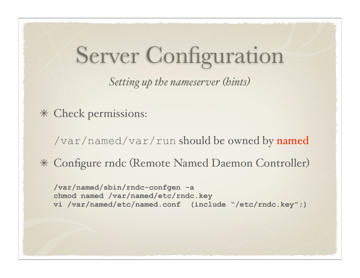*Setting up the nameserver (hints)*

Check permissions:

/var/named/var/run should be owned by named

Configure rndc (Remote Named Daemon Controller)

**/var/named/sbin/rndc-confgen -a chmod named /var/named/etc/rndc.key vi /var/named/etc/named.conf (include "/etc/rndc.key";)**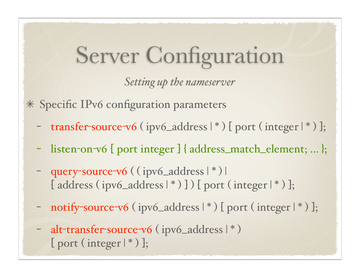*Setting up the nameserver* 

Specific IPv6 configuration parameters

- transfer-source-v6 (ipv6\_address  $\vert * \rangle$  [ port (integer  $\vert * \rangle$  ];
- listen-on-v6 [ port integer ] { address\_match\_element; ... };
- query-source-v6 ( ( ipv6\_address  $\vert * \rangle$  ) [address (ipv6\_address  $\vert * \rangle$  ]) [ port (integer  $\vert * \rangle$  ];
- notify-source-v6 (ipv6\_address  $\vert * \rangle$  [ port (integer  $\vert * \rangle$  ];
- alt-transfer-source-v6 (ipv6\_address  $|$  \*)  $[$  port (integer  $| * )$  ];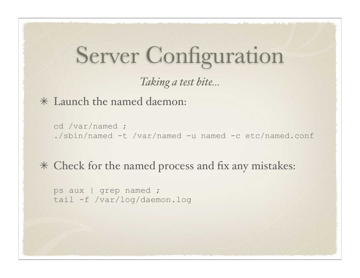#### *Taking a test bite...*

Launch the named daemon:

```
cd /var/named ;
./sbin/named -t /var/named -u named -c etc/named.conf
```
#### Check for the named process and fix any mistakes:

```
ps aux | grep named ;
tail -f /var/log/daemon.log
```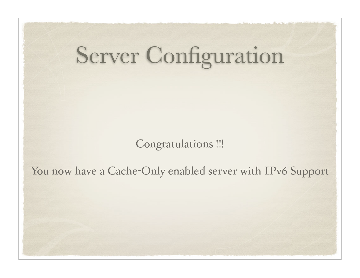Congratulations !!!

You now have a Cache-Only enabled server with IPv6 Support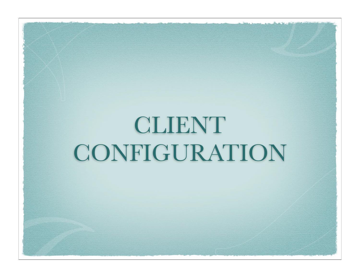# CLIENT CONFIGURATION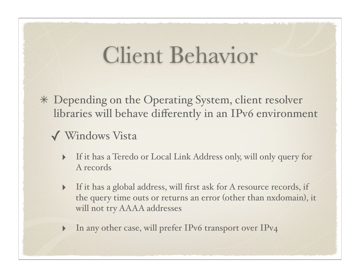### Client Behavior

Depending on the Operating System, client resolver libraries will behave differently in an IPv6 environment

#### ✓ Windows Vista

- ‣ If it has a Teredo or Local Link Address only, will only query for A records
- ‣ If it has a global address, will first ask for A resource records, if the query time outs or returns an error (other than nxdomain), it will not try AAAA addresses
- In any other case, will prefer IPv6 transport over IPv4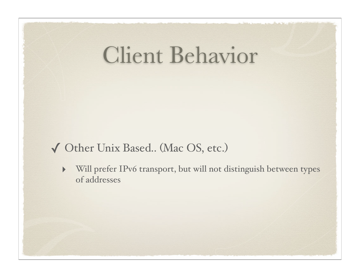### Client Behavior

#### ✓ Other Unix Based.. (Mac OS, etc.)

‣ Will prefer IPv6 transport, but will not distinguish between types of addresses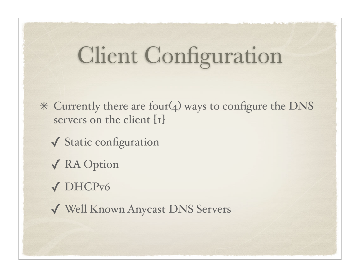## Client Configuration

- Currently there are four(4) ways to configure the DNS servers on the client [1]
	- ✓ Static configuration
	- ✓ RA Option
	- ✓ DHCPv6
	- ✓ Well Known Anycast DNS Servers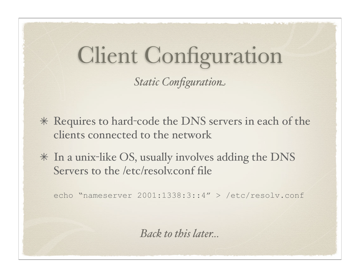# Client Configuration

*Static Configuration*

- Requires to hard-code the DNS servers in each of the clients connected to the network
- $*$  In a unix-like OS, usually involves adding the DNS Servers to the /etc/resolv.conf file

echo "nameserver 2001:1338:3::4" > /etc/resolv.conf

*Back to this later...*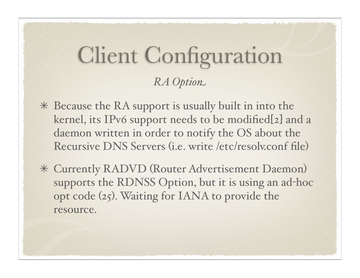#### Client Configuration *RA Option*

- Because the RA support is usually built in into the kernel, its IPv6 support needs to be modified[2] and a daemon written in order to notify the OS about the Recursive DNS Servers (i.e. write /etc/resolv.conf file)
- Currently RADVD (Router Advertisement Daemon) supports the RDNSS Option, but it is using an ad-hoc opt code (25). Waiting for IANA to provide the resource.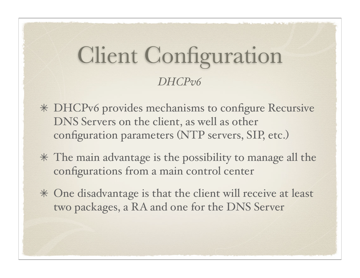#### Client Configuration *DHCPv6*

- DHCPv6 provides mechanisms to configure Recursive DNS Servers on the client, as well as other configuration parameters (NTP servers, SIP, etc.)
- The main advantage is the possibility to manage all the configurations from a main control center
- One disadvantage is that the client will receive at least two packages, a RA and one for the DNS Server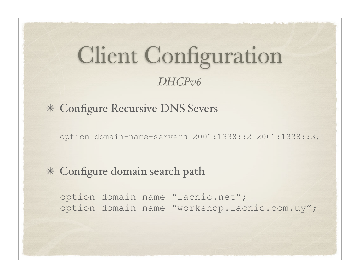#### Client Configuration *DHCPv6*

#### Configure Recursive DNS Severs

option domain-name-servers 2001:1338::2 2001:1338::3;

#### Configure domain search path

option domain-name "lacnic.net"; option domain-name "workshop.lacnic.com.uy";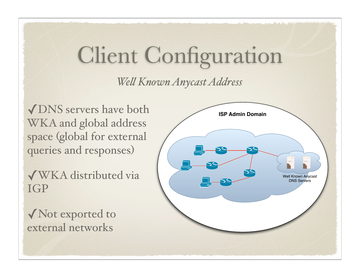## Client Configuration

*We( Known Anycast Address*

◆ DNS servers have both **ISP** Admin Domain WKA and global address space (global for external queries and responses)

✓WKA distributed via IGP

✓Not exported to external networks

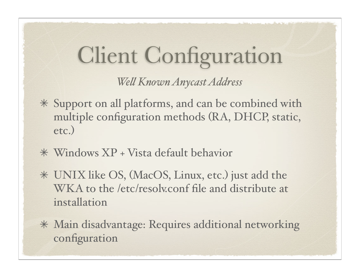## Client Configuration

*We( Known Anycast Address*

- Support on all platforms, and can be combined with multiple configuration methods (RA, DHCP, static, etc.)
- Windows XP + Vista default behavior
- UNIX like OS, (MacOS, Linux, etc.) just add the WKA to the /etc/resolv.conf file and distribute at installation
- Main disadvantage: Requires additional networking configuration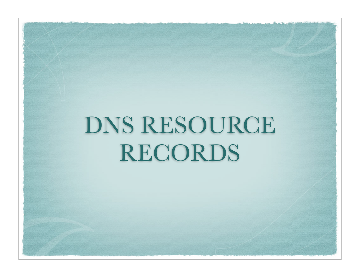# DNS RESOURCE RECORDS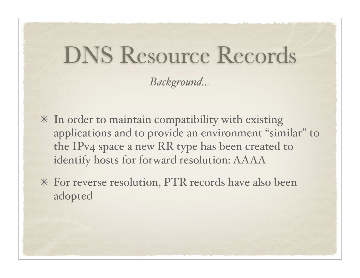*Background...*

- $*$  In order to maintain compatibility with existing applications and to provide an environment "similar" to the IPv4 space a new RR type has been created to identify hosts for forward resolution: AAAA
- For reverse resolution, PTR records have also been adopted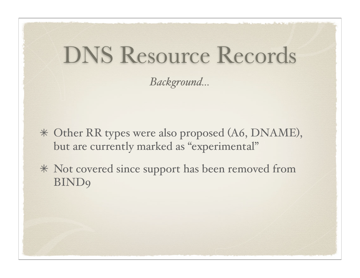*Background...*

Other RR types were also proposed (A6, DNAME), but are currently marked as "experimental"

Not covered since support has been removed from **BIND9**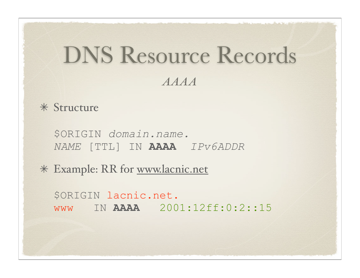#### *AAAA*

Structure

\$ORIGIN *domain.name. NAME* [TTL] IN **AAAA** *IPv6ADDR*

Example: RR for www.lacnic.net

\$ORIGIN lacnic.net. www IN **AAAA** 2001:12ff:0:2::15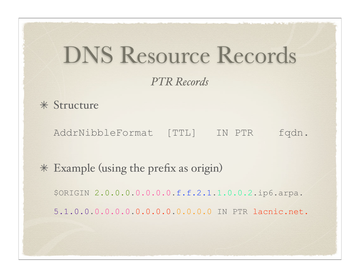#### *PTR Records*

Structure

AddrNibbleFormat [TTL] IN PTR fqdn.

Example (using the prefix as origin)

\$ORIGIN 2.0.0.0.0.0.0.0.f.f.2.1.1.0.0.2.ip6.arpa.

5.1.0.0.0.0.0.0.0.0.0.0.0.0.0.0 IN PTR lacnic.net.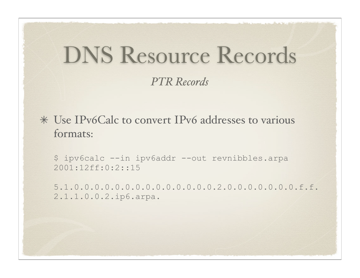#### *PTR Records*

Use IPv6Calc to convert IPv6 addresses to various formats:

\$ ipv6calc --in ipv6addr --out revnibbles.arpa 2001:12ff:0:2::15

5.1.0.0.0.0.0.0.0.0.0.0.0.0.0.0.2.0.0.0.0.0.0.0.f.f. 2.1.1.0.0.2.ip6.arpa.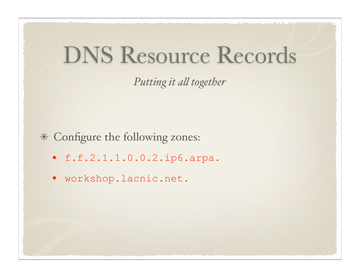**Putting it all together** 

Configure the following zones:

- f.f.2.1.1.0.0.2.ip6.arpa.
- workshop.lacnic.net.